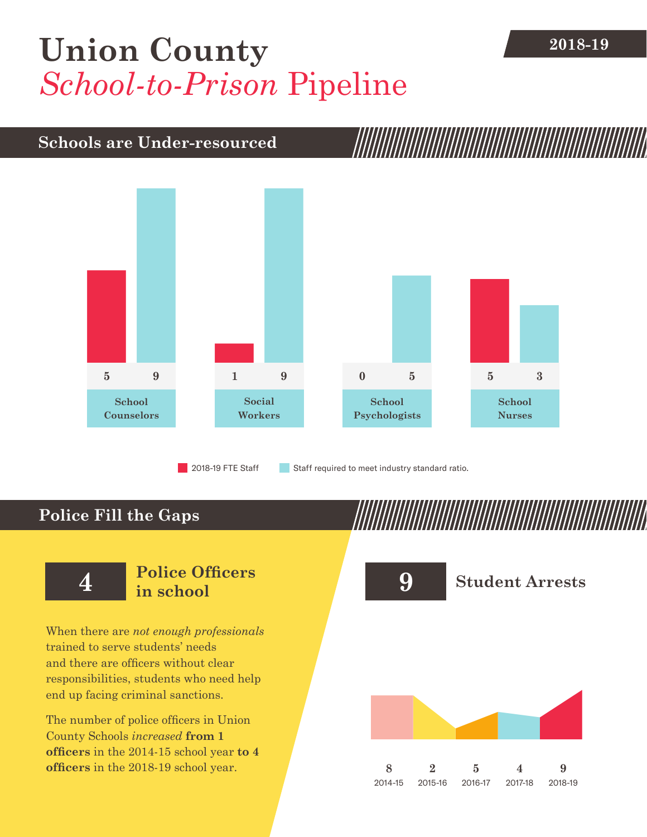## [Union County](DBF_County) **2018-19** *School-to-Prison* Pipeline

## **Schools are Under-resourced**



**Police Fill the Gaps**

When there are *not enough professionals* trained to serve students' needs and there are officers without clear responsibilities, students who need help end up facing criminal sanctions.

The number of police officers in [Union](DBF_County)  [County](DBF_County) Schools *increased* **from [1](DBF_PO1415) officers** in the 2014-15 school year **to [4](DBF_PO) officers** in the 2018-19 school year.